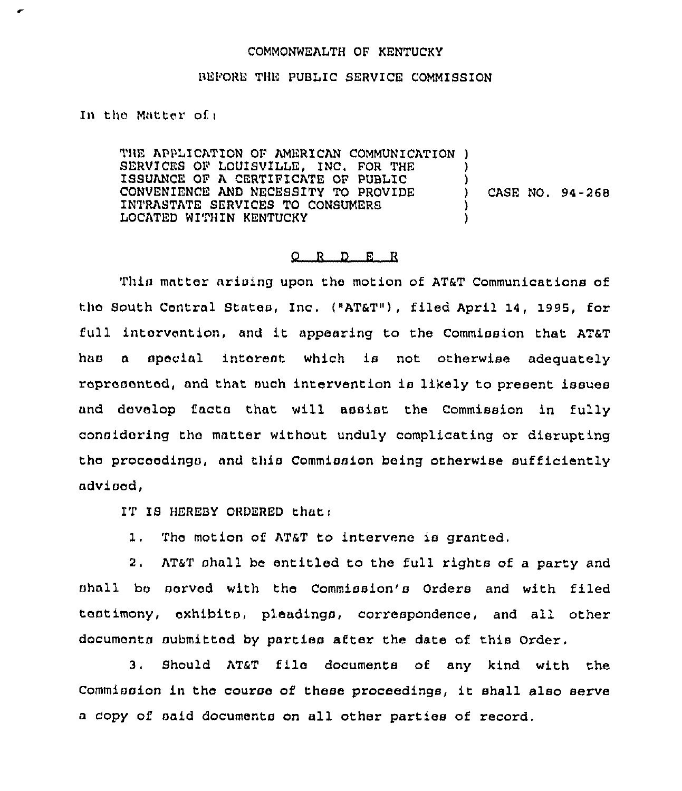## COMMONWEALTH OF KENTUCKY

## BEFORE THE PUBLIC SERVICE COMMISSION

In the Matter ofi

THE APPLICATION OF AMERICAN COMMUNICATION ) SERVICES OF LOUISVILLE, INC, FOR THE ISSUANCE OF A CERTIFICATE OP PUBLIC CONVENIENCE AND NECESSITY TO PROVIDE INTRASTATE SERVICES TO CONSUMERS LOCATED WITHIN KENTUCKY ) ) ) CASE NO. 94-268 ) )

## O R D E R

Thin matter arising upon the motion of AT&T Communications of the South Central States, Inc. ("AT&T"), filed April 14, 1995, for full intervention, and it appearing to the Commission that AT&T has a special interest which is not otherwise adequately represented, and that such intervention is likely to present issues and develop facts that will assist the Commission in fully considering the matter without unduly complicating or disrupting the proceedings, and this Commission being otherwise sufficiently advised,

IT IS HEREBY ORDERED that:

1. The motion of AT&T to intervene is granted.

2, AT&T shall be entitled to the full rights of a party and nhnll bo served with the Commission's Orders and with filed tastimony, exhibits, pleadings, correspondence, and all other documents submitted by parties after the date of this Order.

3, Should AT&T file documents of any kind with the Commission in the course of these proceedings, it shall also serve <sup>a</sup> copy of said documents on all other parties of record,